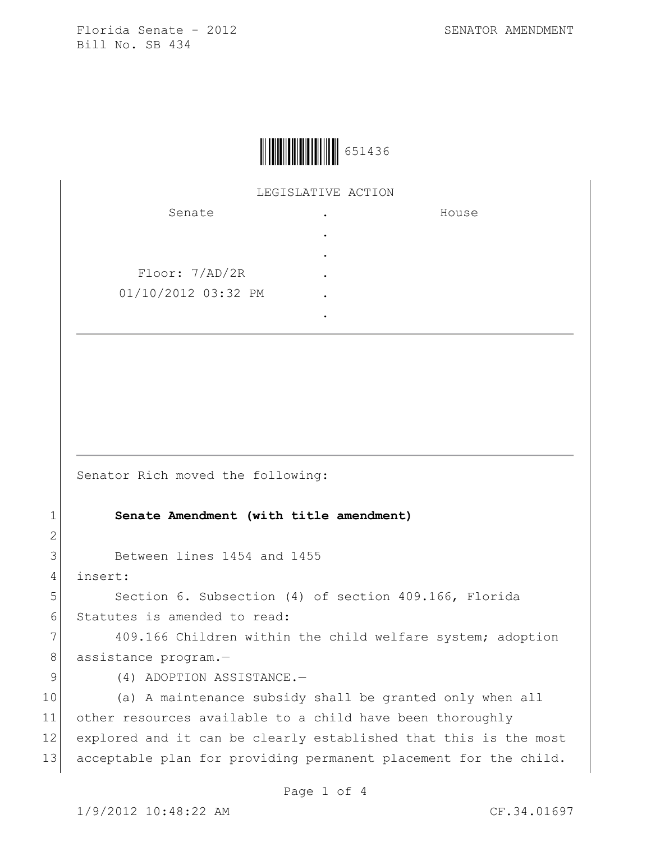

## LEGISLATIVE ACTION

| Senate              |   | House |
|---------------------|---|-------|
|                     | ٠ |       |
|                     | ٠ |       |
| Floor: 7/AD/2R      |   |       |
| 01/10/2012 03:32 PM |   |       |
|                     |   |       |

Senator Rich moved the following:

## 1 **Senate Amendment (with title amendment)**

3 Between lines 1454 and 1455

4 insert:

2

5 Section 6. Subsection (4) of section 409.166, Florida 6 Statutes is amended to read:

7 409.166 Children within the child welfare system; adoption 8 assistance program.-

9 (4) ADOPTION ASSISTANCE.

 (a) A maintenance subsidy shall be granted only when all other resources available to a child have been thoroughly 12 explored and it can be clearly established that this is the most acceptable plan for providing permanent placement for the child.

Page 1 of 4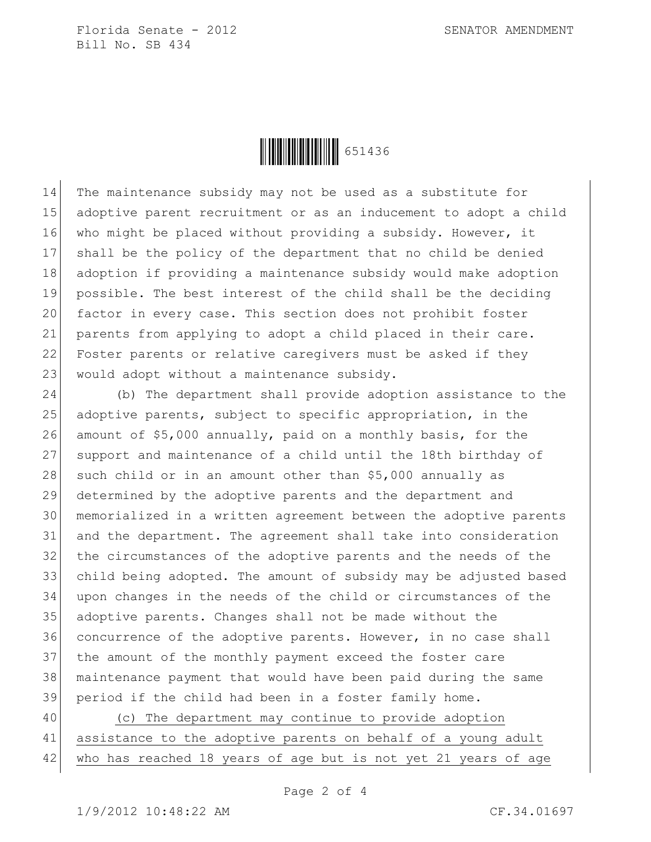

 The maintenance subsidy may not be used as a substitute for 15 adoptive parent recruitment or as an inducement to adopt a child 16 who might be placed without providing a subsidy. However, it shall be the policy of the department that no child be denied adoption if providing a maintenance subsidy would make adoption possible. The best interest of the child shall be the deciding 20 factor in every case. This section does not prohibit foster 21 parents from applying to adopt a child placed in their care. 22 Foster parents or relative caregivers must be asked if they 23 would adopt without a maintenance subsidy.

 (b) The department shall provide adoption assistance to the 25 adoptive parents, subject to specific appropriation, in the amount of \$5,000 annually, paid on a monthly basis, for the support and maintenance of a child until the 18th birthday of 28 such child or in an amount other than  $$5,000$  annually as determined by the adoptive parents and the department and memorialized in a written agreement between the adoptive parents and the department. The agreement shall take into consideration the circumstances of the adoptive parents and the needs of the child being adopted. The amount of subsidy may be adjusted based upon changes in the needs of the child or circumstances of the adoptive parents. Changes shall not be made without the concurrence of the adoptive parents. However, in no case shall the amount of the monthly payment exceed the foster care maintenance payment that would have been paid during the same period if the child had been in a foster family home.

 (c) The department may continue to provide adoption assistance to the adoptive parents on behalf of a young adult who has reached 18 years of age but is not yet 21 years of age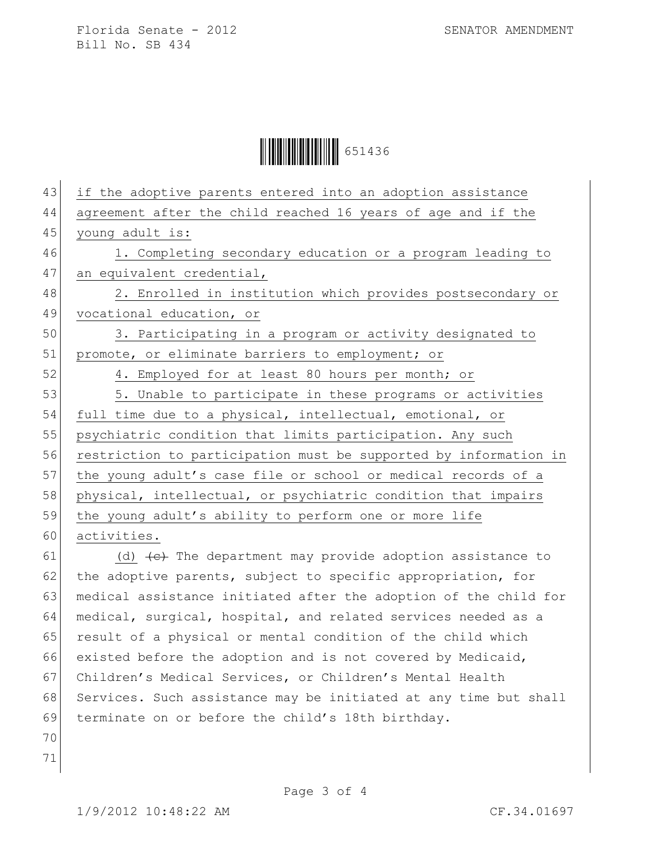**ÖHEFFEHREIDE 651436** 

| 43 | if the adoptive parents entered into an adoption assistance                          |  |  |
|----|--------------------------------------------------------------------------------------|--|--|
| 44 | agreement after the child reached 16 years of age and if the                         |  |  |
| 45 | young adult is:                                                                      |  |  |
| 46 | 1. Completing secondary education or a program leading to                            |  |  |
| 47 | an equivalent credential,                                                            |  |  |
| 48 | 2. Enrolled in institution which provides postsecondary or                           |  |  |
| 49 | vocational education, or                                                             |  |  |
| 50 | 3. Participating in a program or activity designated to                              |  |  |
| 51 | promote, or eliminate barriers to employment; or                                     |  |  |
| 52 | 4. Employed for at least 80 hours per month; or                                      |  |  |
| 53 | 5. Unable to participate in these programs or activities                             |  |  |
| 54 | full time due to a physical, intellectual, emotional, or                             |  |  |
| 55 | psychiatric condition that limits participation. Any such                            |  |  |
| 56 | restriction to participation must be supported by information in                     |  |  |
| 57 | the young adult's case file or school or medical records of a                        |  |  |
| 58 | physical, intellectual, or psychiatric condition that impairs                        |  |  |
| 59 | the young adult's ability to perform one or more life                                |  |  |
| 60 | activities.                                                                          |  |  |
| 61 | (d) $\left\lbrace e \right\rbrace$ The department may provide adoption assistance to |  |  |
| 62 | the adoptive parents, subject to specific appropriation, for                         |  |  |
| 63 | medical assistance initiated after the adoption of the child for                     |  |  |
| 64 | medical, surgical, hospital, and related services needed as a                        |  |  |
| 65 | result of a physical or mental condition of the child which                          |  |  |
| 66 | existed before the adoption and is not covered by Medicaid,                          |  |  |
| 67 | Children's Medical Services, or Children's Mental Health                             |  |  |
| 68 | Services. Such assistance may be initiated at any time but shall                     |  |  |

70 71

69 terminate on or before the child's 18th birthday.